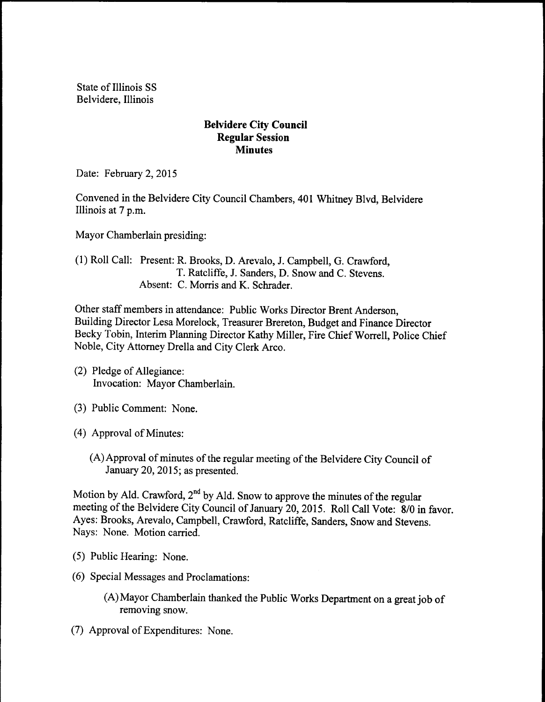State of Illinois SS Belvidere, Illinois

## Belvidere City Council Regular Session **Minutes**

Date: February 2, 2015

Convened in the Belvidere City Council Chambers, 401 Whitney Blvd, Belvidere Illinois at 7 p.m.

Mayor Chamberlain presiding:

## 1) Roll Call: Present: R. Brooks, D. Arevalo, J. Campbell, G. Crawford, T. Ratcliffe, J. Sanders, D. Snow and C. Stevens. Absent: C. Morris and K. Schrader.

Other staff members in attendance: Public Works Director Brent Anderson, Building Director Lesa Morelock, Treasurer Brereton, Budget and Finance Director Becky Tobin, Interim Planning Director Kathy Miller, Fire Chief Worrell, Police Chief Noble, City Attorney Drella and City Clerk Arco.

- 2) Pledge of Allegiance: Invocation: Mayor Chamberlain.
- 3) Public Comment: None.
- 4) Approval of Minutes:
	- (A) Approval of minutes of the regular meeting of the Belvidere City Council of January 20, 2015; as presented.

Motion by Ald. Crawford,  $2^{nd}$  by Ald. Snow to approve the minutes of the regular meeting of the Belvidere City Council of January 20, 2015. Roll Call Vote: 8/0 in favor. Ayes: Brooks, Arevalo, Campbell, Crawford, Ratcliffe, Sanders, Snow and Stevens. Nays: None. Motion carried.

- 5) Public Hearing: None.
- 6) Special Messages and Proclamations:
	- A)Mayor Chamberlain thanked the Public Works Department on <sup>a</sup> great job of removing snow.
- (7) Approval of Expenditures: None.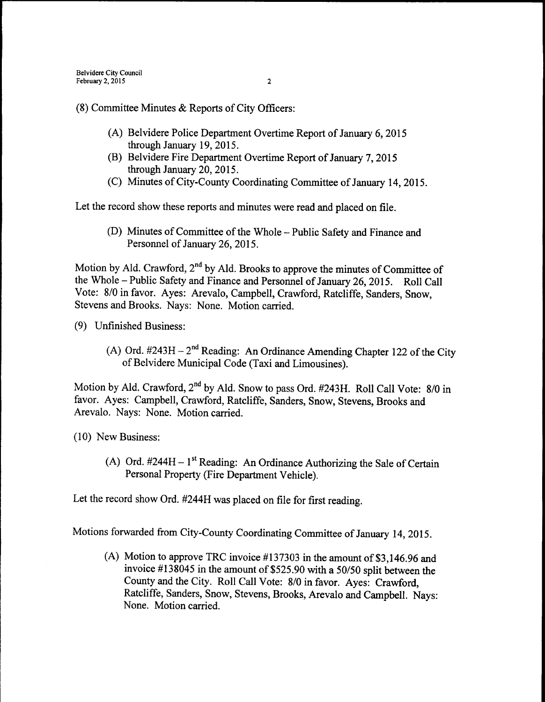8) Committee Minutes & Reports of City Officers:

- A) Belvidere Police Department Overtime Report of January 6, 2015 through January 19, 2015.
- B) Belvidere Fire Department Overtime Report of January 7, 2015 through January 20, 2015.
- C) Minutes of City-County Coordinating Committee of January 14, 2015.

Let the record show these reports and minutes were read and placed on file.

(D) Minutes of Committee of the Whole – Public Safety and Finance and Personnel of January 26, 2015.

Motion by Ald. Crawford, 2<sup>nd</sup> by Ald. Brooks to approve the minutes of Committee of the Whole – Public Safety and Finance and Personnel of January 26, 2015. Roll Call Vote: 8/0 in favor. Ayes: Arevalo, Campbell, Crawford, Ratcliffe, Sanders, Snow, Stevens and Brooks. Nays: None. Motion carried.

9) Unfinished Business:

A) Ord.  $\#243H - 2^{nd}$  Reading: An Ordinance Amending Chapter 122 of the City of Belvidere Municipal Code (Taxi and Limousines).

Motion by Ald. Crawford, 2<sup>nd</sup> by Ald. Snow to pass Ord. #243H. Roll Call Vote: 8/0 in favor. Ayes: Campbell, Crawford, Ratcliffe, Sanders, Snow, Stevens, Brooks and Arevalo. Nays: None. Motion carried.

10) New Business:

A) Ord.  $\#244H - 1$ <sup>st</sup> Reading: An Ordinance Authorizing the Sale of Certain Personal Property( Fire Department Vehicle).

Let the record show Ord. #244H was placed on file for first reading.

Motions forwarded from City-County Coordinating Committee of January 14, 2015.

(A) Motion to approve TRC invoice  $\#137303$  in the amount of \$3,146.96 and invoice  $\#138045$  in the amount of \$525.90 with a 50/50 split between the County and the City. Roll Call Vote: 8/0 in favor. Ayes: Crawford, Ratcliffe, Sanders, Snow, Stevens, Brooks, Arevalo and Campbell. Nays: None. Motion carried.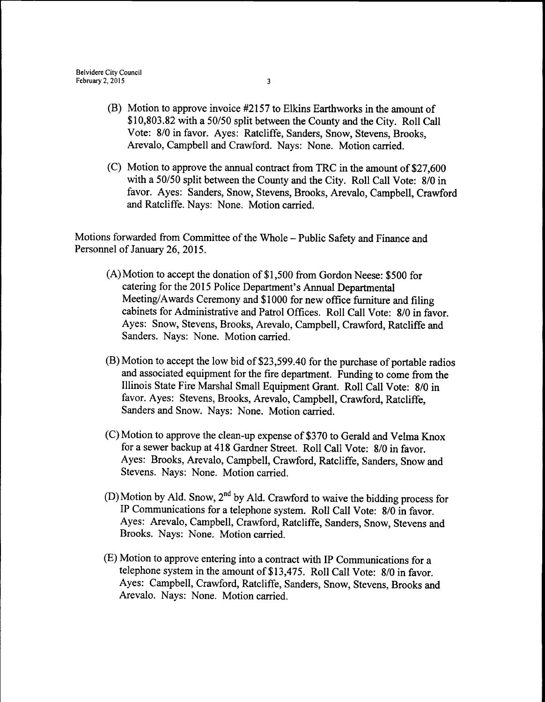- (B) Motion to approve invoice #2157 to Elkins Earthworks in the amount of \$10,803.82 with a 50/50 split between the County and the City. Roll Call Vote: 8/0 in favor. Ayes: Ratcliffe, Sanders, Snow, Stevens, Brooks, Arevalo, Campbell and Crawford. Nays: None. Motion carried.
- C) Motion to approve the annual contract from TRC in the amount of\$27,600 with a 50/50 split between the County and the City. Roll Call Vote: 8/0 in favor. Ayes: Sanders, Snow, Stevens, Brooks, Arevalo, Campbell, Crawford and Ratcliffe. Nays: None. Motion carried.

Motions forwarded from Committee of the Whole—Public Safety and Finance and Personnel of January 26, 2015.

- $(A)$  Motion to accept the donation of \$1,500 from Gordon Neese: \$500 for catering for the 2015 Police Department's Annual Departmental Meeting/Awards Ceremony and \$1000 for new office furniture and filing cabinets for Administrative and Patrol Offices. Roll Call Vote: 8/0 in favor. Ayes: Snow, Stevens, Brooks, Arevalo, Campbell, Crawford, Ratcliffe and Sanders. Nays: None. Motion carried.
- B) Motion to accept the low bid of\$23, 599.40 for the purchase of portable radios and associated equipment for the fire department. Funding to come from the Illinois State Fire Marshal Small Equipment Grant. Roll Call Vote: 8/0 in favor. Ayes: Stevens, Brooks, Arevalo, Campbell, Crawford, Ratcliffe, Sanders and Snow. Nays: None. Motion carried.
- $(C)$  Motion to approve the clean-up expense of \$370 to Gerald and Velma Knox for a sewer backup at 418 Gardner Street. Roll Call Vote: 8/0 in favor. Ayes: Brooks, Arevalo, Campbell, Crawford, Ratcliffe, Sanders, Snow and Stevens. Nays: None. Motion carried.
- D) Motion by Ald. Snow,  $2^{nd}$  by Ald. Crawford to waive the bidding process for IP Communications for a telephone system. Roll Call Vote: 8/0 in favor. Ayes: Arevalo, Campbell, Crawford, Ratcliffe, Sanders, Snow, Stevens and Brooks. Nays: None. Motion carried.
- E) Motion to approve entering into a contract with IP Communications for a telephone system in the amount of \$13,475. Roll Call Vote: 8/0 in favor. Ayes: Campbell, Crawford, Ratcliffe, Sanders, Snow, Stevens, Brooks and Arevalo. Nays: None. Motion carried.